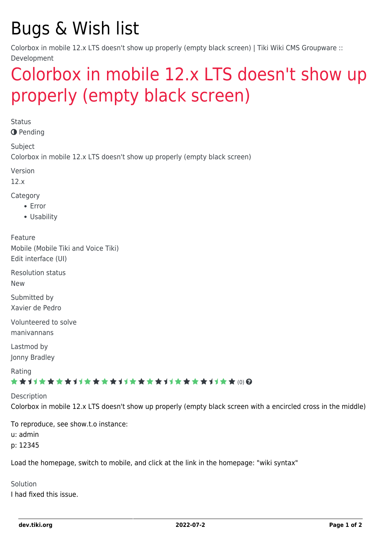# Bugs & Wish list

Colorbox in mobile 12.x LTS doesn't show up properly (empty black screen) | Tiki Wiki CMS Groupware :: Development

## [Colorbox in mobile 12.x LTS doesn't show up](https://dev.tiki.org/item4995-Colorbox-in-mobile-12-x-LTS-doesn-t-show-up-properly-empty-black-screen) [properly \(empty black screen\)](https://dev.tiki.org/item4995-Colorbox-in-mobile-12-x-LTS-doesn-t-show-up-properly-empty-black-screen)

**Status** 

**O** Pending

Subject Colorbox in mobile 12.x LTS doesn't show up properly (empty black screen)

Version

12.x

Category

- Error
- Usability

Feature Mobile (Mobile Tiki and Voice Tiki) Edit interface (UI)

Resolution status

New

Submitted by Xavier de Pedro

Volunteered to solve manivannans

Lastmod by Jonny Bradley

Rating

#### ★★オオ★★★★オオ★★★★★★★★★★★★★★★★★★ @ @

Description Colorbox in mobile 12.x LTS doesn't show up properly (empty black screen with a encircled cross in the middle)

To reproduce, see show.t.o instance:

u: admin

p: 12345

Load the homepage, switch to mobile, and click at the link in the homepage: "wiki syntax"

Solution I had fixed this issue.